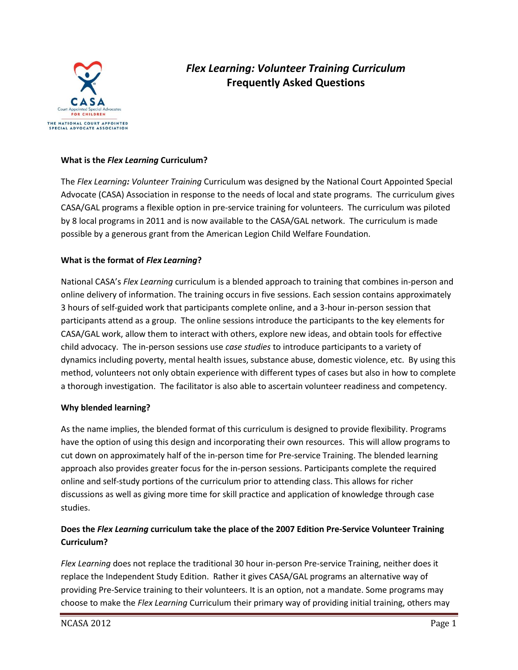

# *Flex Learning: Volunteer Training Curriculum* **Frequently Asked Questions**

## **What is the** *Flex Learning* **Curriculum?**

The *Flex Learning: Volunteer Training* Curriculum was designed by the National Court Appointed Special Advocate (CASA) Association in response to the needs of local and state programs. The curriculum gives CASA/GAL programs a flexible option in pre-service training for volunteers. The curriculum was piloted by 8 local programs in 2011 and is now available to the CASA/GAL network. The curriculum is made possible by a generous grant from the American Legion Child Welfare Foundation.

## **What is the format of** *Flex Learning***?**

National CASA's *Flex Learning* curriculum is a blended approach to training that combines in-person and online delivery of information. The training occurs in five sessions. Each session contains approximately 3 hours of self-guided work that participants complete online, and a 3-hour in-person session that participants attend as a group. The online sessions introduce the participants to the key elements for CASA/GAL work, allow them to interact with others, explore new ideas, and obtain tools for effective child advocacy. The in-person sessions use *case studies* to introduce participants to a variety of dynamics including poverty, mental health issues, substance abuse, domestic violence, etc. By using this method, volunteers not only obtain experience with different types of cases but also in how to complete a thorough investigation. The facilitator is also able to ascertain volunteer readiness and competency.

#### **Why blended learning?**

As the name implies, the blended format of this curriculum is designed to provide flexibility. Programs have the option of using this design and incorporating their own resources. This will allow programs to cut down on approximately half of the in-person time for Pre-service Training. The blended learning approach also provides greater focus for the in-person sessions. Participants complete the required online and self-study portions of the curriculum prior to attending class. This allows for richer discussions as well as giving more time for skill practice and application of knowledge through case studies.

# **Does the** *Flex Learning* **curriculum take the place of the 2007 Edition Pre-Service Volunteer Training Curriculum?**

*Flex Learning* does not replace the traditional 30 hour in-person Pre-service Training, neither does it replace the Independent Study Edition. Rather it gives CASA/GAL programs an alternative way of providing Pre-Service training to their volunteers. It is an option, not a mandate. Some programs may choose to make the *Flex Learning* Curriculum their primary way of providing initial training, others may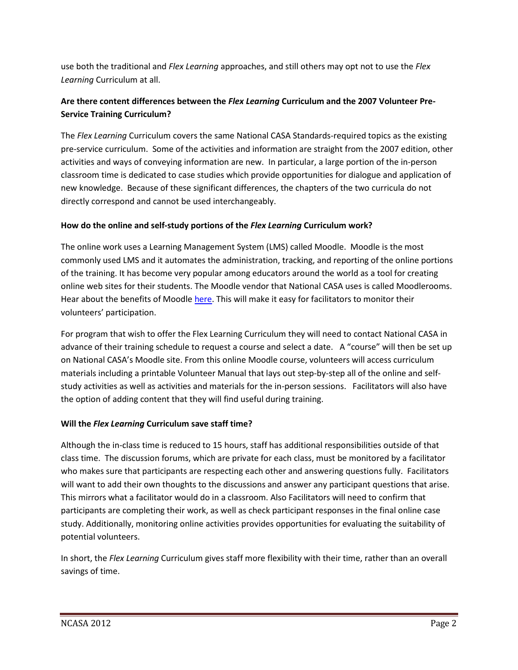use both the traditional and *Flex Learning* approaches, and still others may opt not to use the *Flex Learning* Curriculum at all.

# **Are there content differences between the** *Flex Learning* **Curriculum and the 2007 Volunteer Pre-Service Training Curriculum?**

The *Flex Learning* Curriculum covers the same National CASA Standards-required topics as the existing pre-service curriculum. Some of the activities and information are straight from the 2007 edition, other activities and ways of conveying information are new. In particular, a large portion of the in-person classroom time is dedicated to case studies which provide opportunities for dialogue and application of new knowledge. Because of these significant differences, the chapters of the two curricula do not directly correspond and cannot be used interchangeably.

# **How do the online and self-study portions of the** *Flex Learning* **Curriculum work?**

The online work uses a Learning Management System (LMS) called Moodle. Moodle is the most commonly used LMS and it automates the administration, tracking, and reporting of the online portions of the training. It has become very popular among educators around the world as a tool for creating online web sites for their students. The Moodle vendor that National CASA uses is called Moodlerooms. Hear about the benefits of Moodle [here.](http://www.youtube.com/watch?v=OMYzsAurxHY&feature=BFa&list=PL9F9F9A9E76384AC4&lf=player_embedded) This will make it easy for facilitators to monitor their volunteers' participation.

For program that wish to offer the Flex Learning Curriculum they will need to contact National CASA in advance of their training schedule to request a course and select a date. A "course" will then be set up on National CASA's Moodle site. From this online Moodle course, volunteers will access curriculum materials including a printable Volunteer Manual that lays out step-by-step all of the online and selfstudy activities as well as activities and materials for the in-person sessions. Facilitators will also have the option of adding content that they will find useful during training.

# **Will the** *Flex Learning* **Curriculum save staff time?**

Although the in-class time is reduced to 15 hours, staff has additional responsibilities outside of that class time. The discussion forums, which are private for each class, must be monitored by a facilitator who makes sure that participants are respecting each other and answering questions fully. Facilitators will want to add their own thoughts to the discussions and answer any participant questions that arise. This mirrors what a facilitator would do in a classroom. Also Facilitators will need to confirm that participants are completing their work, as well as check participant responses in the final online case study. Additionally, monitoring online activities provides opportunities for evaluating the suitability of potential volunteers.

In short, the *Flex Learning* Curriculum gives staff more flexibility with their time, rather than an overall savings of time.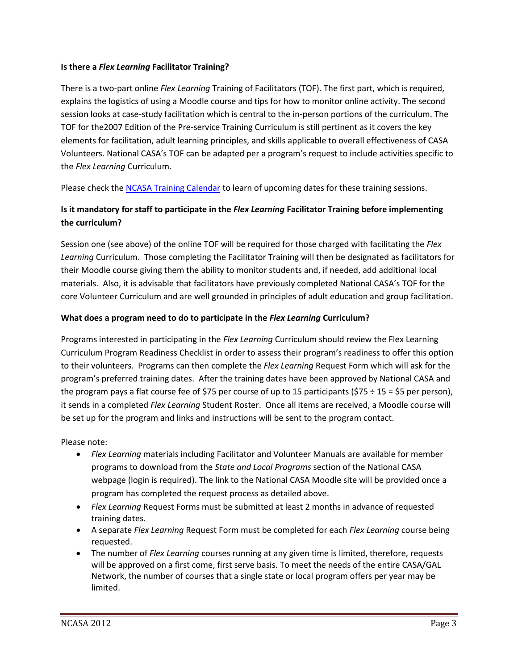#### **Is there a** *Flex Learning* **Facilitator Training?**

There is a two-part online *Flex Learning* Training of Facilitators (TOF). The first part, which is required, explains the logistics of using a Moodle course and tips for how to monitor online activity. The second session looks at case-study facilitation which is central to the in-person portions of the curriculum. The TOF for the2007 Edition of the Pre-service Training Curriculum is still pertinent as it covers the key elements for facilitation, adult learning principles, and skills applicable to overall effectiveness of CASA Volunteers. National CASA's TOF can be adapted per a program's request to include activities specific to the *Flex Learning* Curriculum.

Please check th[e NCASA Training Calendar](http://www.casaforchildren.org/site/c.mtJSJ7MPIsE/b.5466241/k.B36C/Calendar_of_Events.htm) to learn of upcoming dates for these training sessions.

# **Is it mandatory for staff to participate in the** *Flex Learning* **Facilitator Training before implementing the curriculum?**

Session one (see above) of the online TOF will be required for those charged with facilitating the *Flex Learning* Curriculum. Those completing the Facilitator Training will then be designated as facilitators for their Moodle course giving them the ability to monitor students and, if needed, add additional local materials. Also, it is advisable that facilitators have previously completed National CASA's TOF for the core Volunteer Curriculum and are well grounded in principles of adult education and group facilitation.

#### **What does a program need to do to participate in the** *Flex Learning* **Curriculum?**

Programs interested in participating in the *Flex Learning* Curriculum should review the Flex Learning Curriculum Program Readiness Checklist in order to assess their program's readiness to offer this option to their volunteers. Programs can then complete the *Flex Learning* Request Form which will ask for the program's preferred training dates. After the training dates have been approved by National CASA and the program pays a flat course fee of \$75 per course of up to 15 participants (\$75 ÷ 15 = \$5 per person), it sends in a completed *Flex Learning* Student Roster. Once all items are received, a Moodle course will be set up for the program and links and instructions will be sent to the program contact.

Please note:

- *Flex Learning* materials including Facilitator and Volunteer Manuals are available for member programs to download from the *State and Local Programs* section of the National CASA webpage (login is required). The link to the National CASA Moodle site will be provided once a program has completed the request process as detailed above.
- *Flex Learning* Request Forms must be submitted at least 2 months in advance of requested training dates.
- A separate *Flex Learning* Request Form must be completed for each *Flex Learning* course being requested.
- The number of *Flex Learning* courses running at any given time is limited, therefore, requests will be approved on a first come, first serve basis. To meet the needs of the entire CASA/GAL Network, the number of courses that a single state or local program offers per year may be limited.